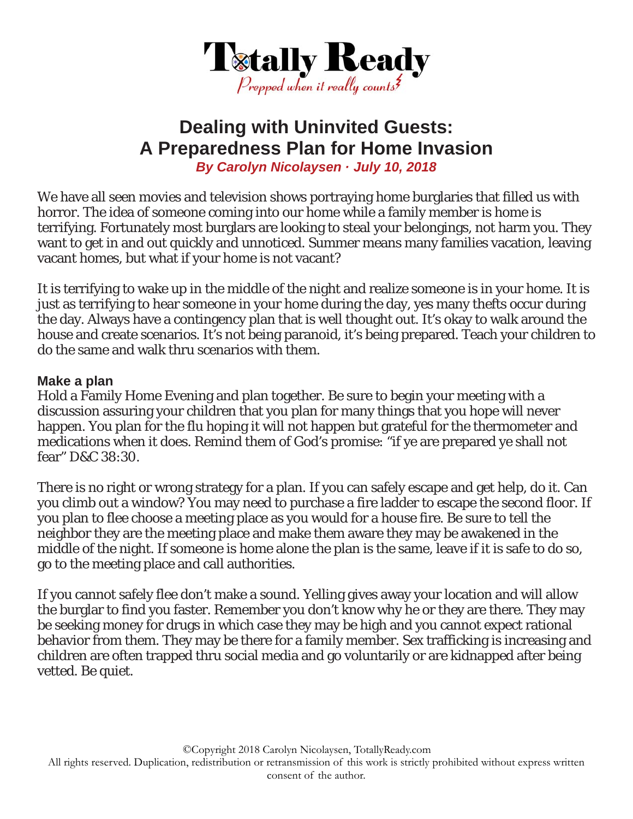

# **Dealing with Uninvited Guests: A Preparedness Plan for Home Invasion**  *By Carolyn Nicolaysen · July 10, 2018*

We have all seen movies and television shows portraying home burglaries that filled us with horror. The idea of someone coming into our home while a family member is home is terrifying. Fortunately most burglars are looking to steal your belongings, not harm you. They want to get in and out quickly and unnoticed. Summer means many families vacation, leaving vacant homes, but what if your home is not vacant?

It is terrifying to wake up in the middle of the night and realize someone is in your home. It is just as terrifying to hear someone in your home during the day, yes many thefts occur during the day. Always have a contingency plan that is well thought out. It's okay to walk around the house and create scenarios. It's not being paranoid, it's being prepared. Teach your children to do the same and walk thru scenarios with them.

#### **Make a plan**

Hold a Family Home Evening and plan together. Be sure to begin your meeting with a discussion assuring your children that you plan for many things that you hope will never happen. You plan for the flu hoping it will not happen but grateful for the thermometer and medications when it does. Remind them of God's promise: "if ye are prepared ye shall not fear" D&C 38:30.

There is no right or wrong strategy for a plan. If you can safely escape and get help, do it. Can you climb out a window? You may need to purchase a fire ladder to escape the second floor. If you plan to flee choose a meeting place as you would for a house fire. Be sure to tell the neighbor they are the meeting place and make them aware they may be awakened in the middle of the night. If someone is home alone the plan is the same, leave if it is safe to do so, go to the meeting place and call authorities.

If you cannot safely flee don't make a sound. Yelling gives away your location and will allow the burglar to find you faster. Remember you don't know why he or they are there. They may be seeking money for drugs in which case they may be high and you cannot expect rational behavior from them. They may be there for a family member. Sex trafficking is increasing and children are often trapped thru social media and go voluntarily or are kidnapped after being vetted. Be quiet.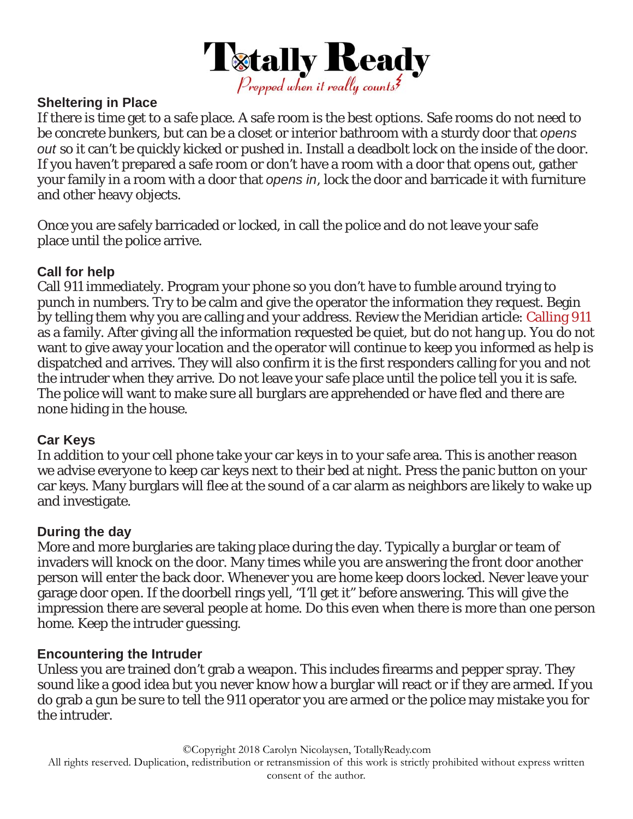

## **Sheltering in Place**

If there is time get to a safe place. A safe room is the best options. Safe rooms do not need to be concrete bunkers, but can be a closet or interior bathroom with a sturdy door that *opens out* so it can't be quickly kicked or pushed in. Install a deadbolt lock on the inside of the door. If you haven't prepared a safe room or don't have a room with a door that opens out, gather your family in a room with a door that *opens in*, lock the door and barricade it with furniture and other heavy objects.

Once you are safely barricaded or locked, in call the police and do not leave your safe place until the police arrive.

## **Call for help**

Call 911 immediately. Program your phone so you don't have to fumble around trying to punch in numbers. Try to be calm and give the operator the information they request. Begin by telling them why you are calling and your address. Review the Meridian article: Calling 911 as a family. After giving all the information requested be quiet, but do not hang up. You do not want to give away your location and the operator will continue to keep you informed as help is dispatched and arrives. They will also confirm it is the first responders calling for you and not the intruder when they arrive. Do not leave your safe place until the police tell you it is safe. The police will want to make sure all burglars are apprehended or have fled and there are none hiding in the house.

# **Car Keys**

In addition to your cell phone take your car keys in to your safe area. This is another reason we advise everyone to keep car keys next to their bed at night. Press the panic button on your car keys. Many burglars will flee at the sound of a car alarm as neighbors are likely to wake up and investigate.

### **During the day**

More and more burglaries are taking place during the day. Typically a burglar or team of invaders will knock on the door. Many times while you are answering the front door another person will enter the back door. Whenever you are home keep doors locked. Never leave your garage door open. If the doorbell rings yell, "I'll get it" before answering. This will give the impression there are several people at home. Do this even when there is more than one person home. Keep the intruder guessing.

### **Encountering the Intruder**

Unless you are trained don't grab a weapon. This includes firearms and pepper spray. They sound like a good idea but you never know how a burglar will react or if they are armed. If you do grab a gun be sure to tell the 911 operator you are armed or the police may mistake you for the intruder.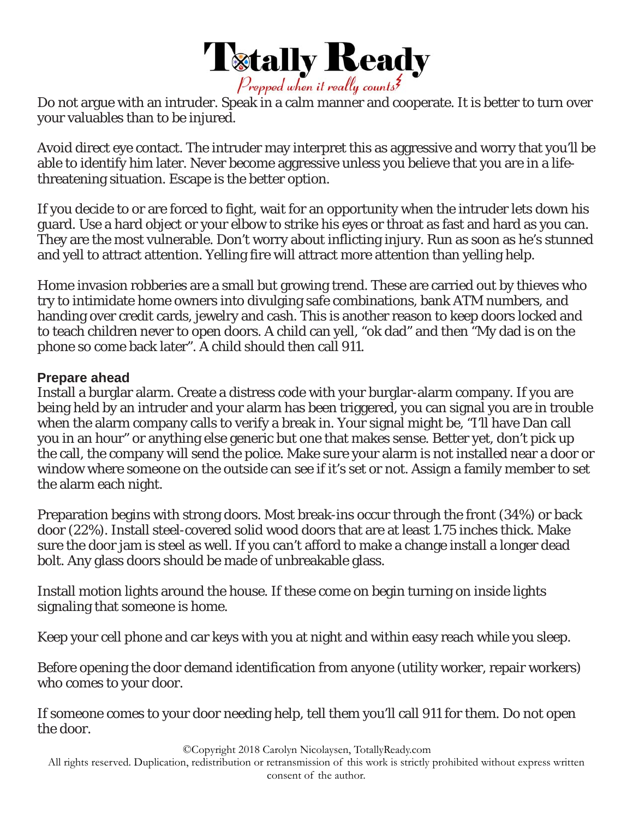

Do not argue with an intruder. Speak in a calm manner and cooperate. It is better to turn over your valuables than to be injured.

Avoid direct eye contact. The intruder may interpret this as aggressive and worry that you'll be able to identify him later. Never become aggressive unless you believe that you are in a lifethreatening situation. Escape is the better option.

If you decide to or are forced to fight, wait for an opportunity when the intruder lets down his guard. Use a hard object or your elbow to strike his eyes or throat as fast and hard as you can. They are the most vulnerable. Don't worry about inflicting injury. Run as soon as he's stunned and yell to attract attention. Yelling fire will attract more attention than yelling help.

Home invasion robberies are a small but growing trend. These are carried out by thieves who try to intimidate home owners into divulging safe combinations, bank ATM numbers, and handing over credit cards, jewelry and cash. This is another reason to keep doors locked and to teach children never to open doors. A child can yell, "ok dad" and then "My dad is on the phone so come back later". A child should then call 911.

#### **Prepare ahead**

Install a burglar alarm. Create a distress code with your burglar-alarm company. If you are being held by an intruder and your alarm has been triggered, you can signal you are in trouble when the alarm company calls to verify a break in. Your signal might be, "I'll have Dan call you in an hour" or anything else generic but one that makes sense. Better yet, don't pick up the call, the company will send the police. Make sure your alarm is not installed near a door or window where someone on the outside can see if it's set or not. Assign a family member to set the alarm each night.

Preparation begins with strong doors. Most break-ins occur through the front (34%) or back door (22%). Install steel-covered solid wood doors that are at least 1.75 inches thick. Make sure the door jam is steel as well. If you can't afford to make a change install a longer dead bolt. Any glass doors should be made of unbreakable glass.

Install motion lights around the house. If these come on begin turning on inside lights signaling that someone is home.

Keep your cell phone and car keys with you at night and within easy reach while you sleep.

Before opening the door demand identification from anyone (utility worker, repair workers) who comes to your door.

If someone comes to your door needing help, tell them you'll call 911 for them. Do not open the door.

©Copyright 2018 Carolyn Nicolaysen, TotallyReady.com

All rights reserved. Duplication, redistribution or retransmission of this work is strictly prohibited without express written consent of the author.